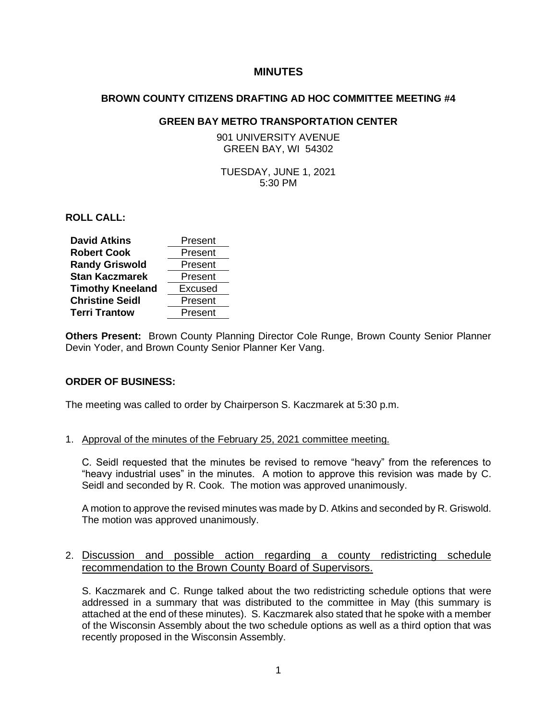# **MINUTES**

#### **BROWN COUNTY CITIZENS DRAFTING AD HOC COMMITTEE MEETING #4**

## **GREEN BAY METRO TRANSPORTATION CENTER**

901 UNIVERSITY AVENUE GREEN BAY, WI 54302

TUESDAY, JUNE 1, 2021 5:30 PM

**ROLL CALL:**

| <b>David Atkins</b>     | Present |
|-------------------------|---------|
| <b>Robert Cook</b>      | Present |
| <b>Randy Griswold</b>   | Present |
| <b>Stan Kaczmarek</b>   | Present |
| <b>Timothy Kneeland</b> | Excused |
| <b>Christine Seidl</b>  | Present |
| <b>Terri Trantow</b>    | Present |

**Others Present:** Brown County Planning Director Cole Runge, Brown County Senior Planner Devin Yoder, and Brown County Senior Planner Ker Vang.

#### **ORDER OF BUSINESS:**

The meeting was called to order by Chairperson S. Kaczmarek at 5:30 p.m.

#### 1. Approval of the minutes of the February 25, 2021 committee meeting.

C. Seidl requested that the minutes be revised to remove "heavy" from the references to "heavy industrial uses" in the minutes. A motion to approve this revision was made by C. Seidl and seconded by R. Cook. The motion was approved unanimously.

A motion to approve the revised minutes was made by D. Atkins and seconded by R. Griswold. The motion was approved unanimously.

## 2. Discussion and possible action regarding a county redistricting schedule recommendation to the Brown County Board of Supervisors.

S. Kaczmarek and C. Runge talked about the two redistricting schedule options that were addressed in a summary that was distributed to the committee in May (this summary is attached at the end of these minutes). S. Kaczmarek also stated that he spoke with a member of the Wisconsin Assembly about the two schedule options as well as a third option that was recently proposed in the Wisconsin Assembly.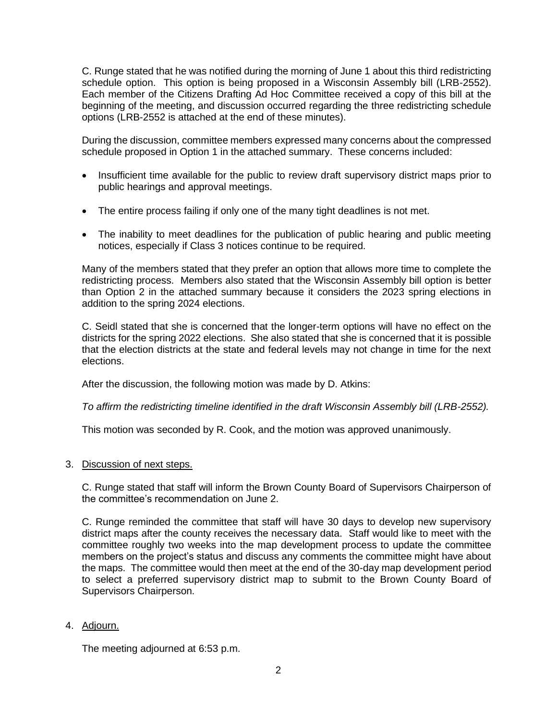C. Runge stated that he was notified during the morning of June 1 about this third redistricting schedule option. This option is being proposed in a Wisconsin Assembly bill (LRB-2552). Each member of the Citizens Drafting Ad Hoc Committee received a copy of this bill at the beginning of the meeting, and discussion occurred regarding the three redistricting schedule options (LRB-2552 is attached at the end of these minutes).

During the discussion, committee members expressed many concerns about the compressed schedule proposed in Option 1 in the attached summary. These concerns included:

- Insufficient time available for the public to review draft supervisory district maps prior to public hearings and approval meetings.
- The entire process failing if only one of the many tight deadlines is not met.
- The inability to meet deadlines for the publication of public hearing and public meeting notices, especially if Class 3 notices continue to be required.

Many of the members stated that they prefer an option that allows more time to complete the redistricting process. Members also stated that the Wisconsin Assembly bill option is better than Option 2 in the attached summary because it considers the 2023 spring elections in addition to the spring 2024 elections.

C. Seidl stated that she is concerned that the longer-term options will have no effect on the districts for the spring 2022 elections. She also stated that she is concerned that it is possible that the election districts at the state and federal levels may not change in time for the next elections.

After the discussion, the following motion was made by D. Atkins:

*To affirm the redistricting timeline identified in the draft Wisconsin Assembly bill (LRB-2552).* 

This motion was seconded by R. Cook, and the motion was approved unanimously.

3. Discussion of next steps.

C. Runge stated that staff will inform the Brown County Board of Supervisors Chairperson of the committee's recommendation on June 2.

C. Runge reminded the committee that staff will have 30 days to develop new supervisory district maps after the county receives the necessary data. Staff would like to meet with the committee roughly two weeks into the map development process to update the committee members on the project's status and discuss any comments the committee might have about the maps. The committee would then meet at the end of the 30-day map development period to select a preferred supervisory district map to submit to the Brown County Board of Supervisors Chairperson.

4. Adjourn.

The meeting adjourned at 6:53 p.m.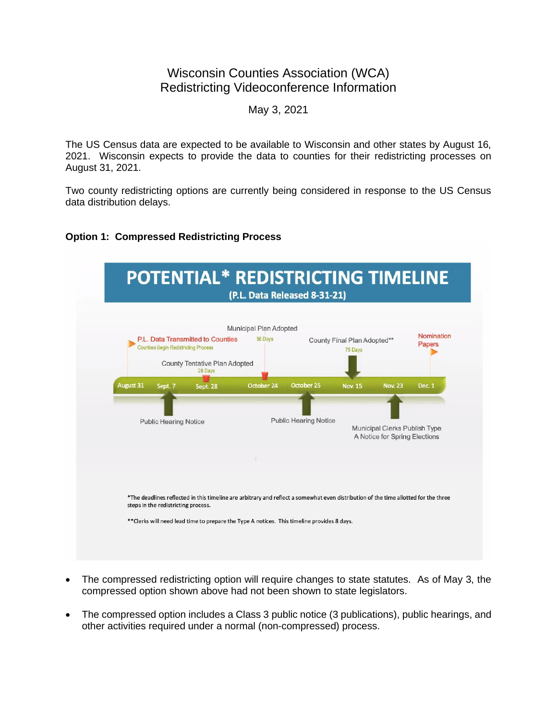# Wisconsin Counties Association (WCA) Redistricting Videoconference Information

May 3, 2021

The US Census data are expected to be available to Wisconsin and other states by August 16, 2021. Wisconsin expects to provide the data to counties for their redistricting processes on August 31, 2021.

Two county redistricting options are currently being considered in response to the US Census data distribution delays.

# **Option 1: Compressed Redistricting Process**



- The compressed redistricting option will require changes to state statutes. As of May 3, the compressed option shown above had not been shown to state legislators.
- The compressed option includes a Class 3 public notice (3 publications), public hearings, and other activities required under a normal (non-compressed) process.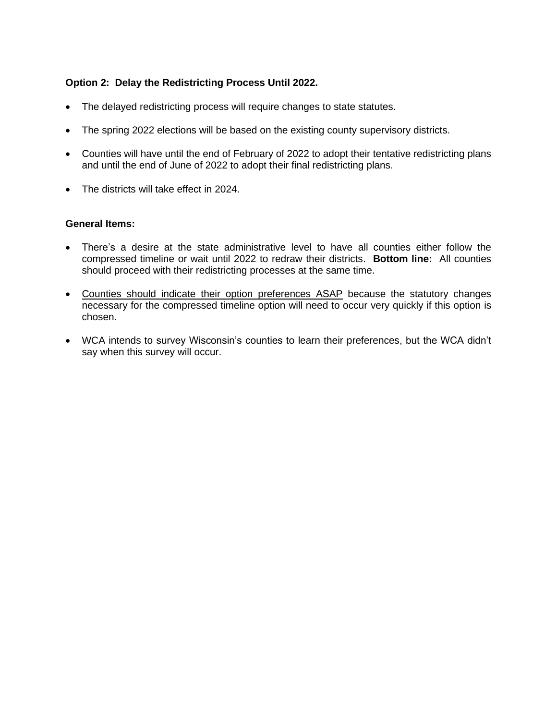# **Option 2: Delay the Redistricting Process Until 2022.**

- The delayed redistricting process will require changes to state statutes.
- The spring 2022 elections will be based on the existing county supervisory districts.
- Counties will have until the end of February of 2022 to adopt their tentative redistricting plans and until the end of June of 2022 to adopt their final redistricting plans.
- The districts will take effect in 2024.

#### **General Items:**

- There's a desire at the state administrative level to have all counties either follow the compressed timeline or wait until 2022 to redraw their districts. **Bottom line:** All counties should proceed with their redistricting processes at the same time.
- Counties should indicate their option preferences ASAP because the statutory changes necessary for the compressed timeline option will need to occur very quickly if this option is chosen.
- WCA intends to survey Wisconsin's counties to learn their preferences, but the WCA didn't say when this survey will occur.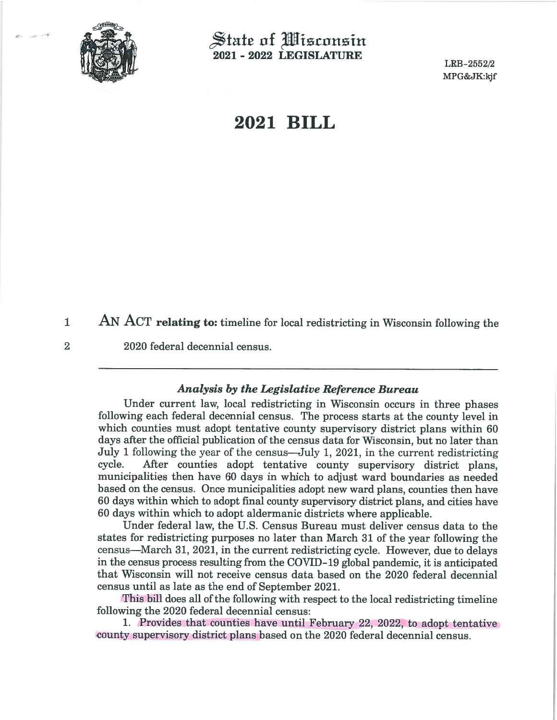

 $\overline{2}$ 

 $\mathbb S$ tate of Wisconsin 2021 - 2022 LEGISLATURE

LRB-2552/2 MPG&JK:kjf

# 2021 BILL

AN ACT relating to: timeline for local redistricting in Wisconsin following the  $\mathbf{1}$ 

## 2020 federal decennial census.

#### **Analysis by the Legislative Reference Bureau**

Under current law, local redistricting in Wisconsin occurs in three phases following each federal decennial census. The process starts at the county level in which counties must adopt tentative county supervisory district plans within 60 days after the official publication of the census data for Wisconsin, but no later than July 1 following the year of the census—July 1, 2021, in the current redistricting cycle. After counties adopt tentative county supervisory district plans, municipalities then have 60 days in which to adjust ward boundaries as needed based on the census. Once municipalities adopt new ward plans, counties then have 60 days within which to adopt final county supervisory district plans, and cities have 60 days within which to adopt aldermanic districts where applicable.

Under federal law, the U.S. Census Bureau must deliver census data to the states for redistricting purposes no later than March 31 of the year following the census—March 31, 2021, in the current redistricting cycle. However, due to delays in the census process resulting from the COVID-19 global pandemic, it is anticipated that Wisconsin will not receive census data based on the 2020 federal decennial census until as late as the end of September 2021.

This bill does all of the following with respect to the local redistricting timeline following the 2020 federal decennial census:

1. Provides that counties have until February 22, 2022, to adopt tentative county supervisory district plans based on the 2020 federal decennial census.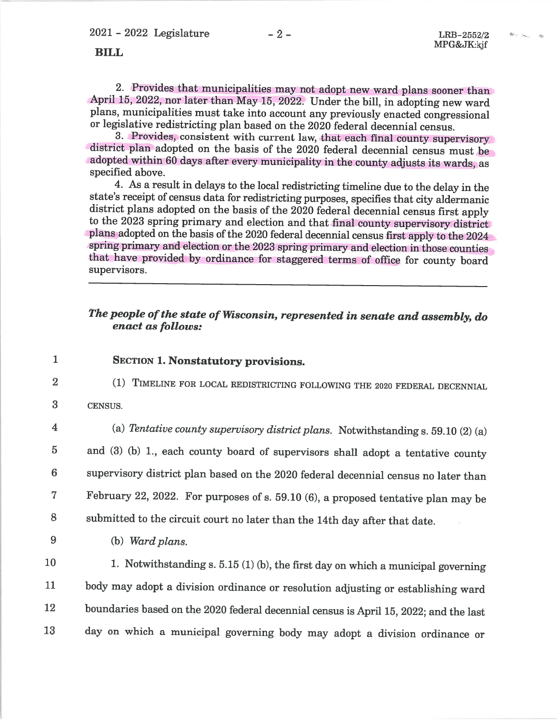$\psi$  .  $\sim$ 

**BILL** 

2. Provides that municipalities may not adopt new ward plans sooner than April 15, 2022, nor later than May 15, 2022. Under the bill, in adopting new ward plans, municipalities must take into account any previously enacted congressional or legislative redistricting plan based on the 2020 federal decennial census.

3. Provides, consistent with current law, that each final county supervisory district plan adopted on the basis of the 2020 federal decennial census must be adopted within 60 days after every municipality in the county adjusts its wards, as specified above.

4. As a result in delays to the local redistricting timeline due to the delay in the state's receipt of census data for redistricting purposes, specifies that city aldermanic district plans adopted on the basis of the 2020 federal decennial census first apply to the 2023 spring primary and election and that final county supervisory district plans adopted on the basis of the 2020 federal decennial census first apply to the 2024 spring primary and election or the 2023 spring primary and election in those counties that have provided by ordinance for staggered terms of office for county board supervisors.

# The people of the state of Wisconsin, represented in senate and assembly, do enact as follows:

- $\mathbf{1}$ **SECTION 1. Nonstatutory provisions.** 
	- (1) TIMELINE FOR LOCAL REDISTRICTING FOLLOWING THE 2020 FEDERAL DECENNIAL
- 3 CENSUS.
- $\overline{\mathbf{4}}$

 $\overline{2}$ 

(a) Tentative county supervisory district plans. Notwithstanding s. 59.10 (2) (a)

 $\overline{5}$ and (3) (b) 1., each county board of supervisors shall adopt a tentative county supervisory district plan based on the 2020 federal decennial census no later than  $6\phantom{.}$  $\overline{7}$ February 22, 2022. For purposes of s. 59.10 (6), a proposed tentative plan may be 8 submitted to the circuit court no later than the 14th day after that date.

- 9
- (b) Ward plans.

10 1. Notwithstanding s.  $5.15(1)(b)$ , the first day on which a municipal governing 11 body may adopt a division ordinance or resolution adjusting or establishing ward boundaries based on the 2020 federal decennial census is April 15, 2022; and the last 12 day on which a municipal governing body may adopt a division ordinance or 13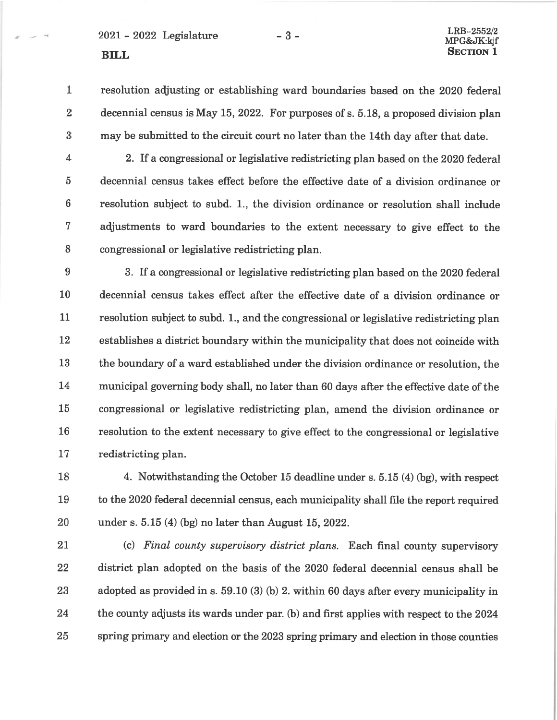# $2021 - 2022$  Legislature **BILL**

#### LRB-2552/2 MPG&JK:kjf **SECTION 1**

 $\mathbf{1}$ resolution adjusting or establishing ward boundaries based on the 2020 federal  $\overline{2}$ decennial census is May 15, 2022. For purposes of s. 5.18, a proposed division plan 3 may be submitted to the circuit court no later than the 14th day after that date.

 $-3-$ 

 $\overline{4}$ 2. If a congressional or legislative redistricting plan based on the 2020 federal  $\overline{5}$ decennial census takes effect before the effective date of a division ordinance or  $6\phantom{1}$ resolution subject to subd. 1., the division ordinance or resolution shall include  $\overline{7}$ adjustments to ward boundaries to the extent necessary to give effect to the 8 congressional or legislative redistricting plan.

9 3. If a congressional or legislative redistricting plan based on the 2020 federal decennial census takes effect after the effective date of a division ordinance or 10 11 resolution subject to subd. 1, and the congressional or legislative redistricting plan 12 establishes a district boundary within the municipality that does not coincide with 13 the boundary of a ward established under the division ordinance or resolution, the 14 municipal governing body shall, no later than 60 days after the effective date of the 15 congressional or legislative redistricting plan, amend the division ordinance or resolution to the extent necessary to give effect to the congressional or legislative 16 17 redistricting plan.

18 4. Notwithstanding the October 15 deadline under s. 5.15 (4) (bg), with respect 19 to the 2020 federal decennial census, each municipality shall file the report required 20 under s. 5.15 (4) (bg) no later than August 15, 2022.

21 (c) Final county supervisory district plans. Each final county supervisory 22 district plan adopted on the basis of the 2020 federal decennial census shall be 23 adopted as provided in s. 59.10 (3) (b) 2. within 60 days after every municipality in 24 the county adjusts its wards under par. (b) and first applies with respect to the 2024 25 spring primary and election or the 2023 spring primary and election in those counties